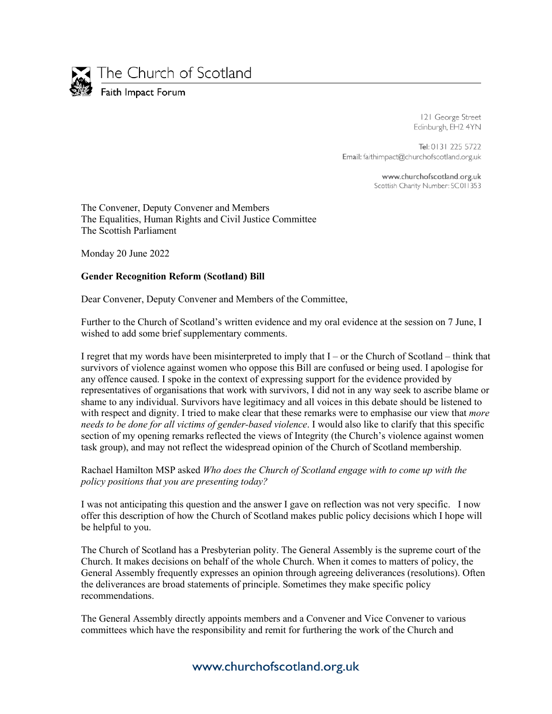

121 George Street Edinburgh, EH2 4YN

Tel: 0131 225 5722 Email: faithimpact@churchofscotland.org.uk

> www.churchofscotland.org.uk Scottish Charity Number: SC011353

The Convener, Deputy Convener and Members The Equalities, Human Rights and Civil Justice Committee The Scottish Parliament

Monday 20 June 2022

## **Gender Recognition Reform (Scotland) Bill**

Dear Convener, Deputy Convener and Members of the Committee,

Further to the Church of Scotland's written evidence and my oral evidence at the session on 7 June, I wished to add some brief supplementary comments.

I regret that my words have been misinterpreted to imply that I – or the Church of Scotland – think that survivors of violence against women who oppose this Bill are confused or being used. I apologise for any offence caused. I spoke in the context of expressing support for the evidence provided by representatives of organisations that work with survivors, I did not in any way seek to ascribe blame or shame to any individual. Survivors have legitimacy and all voices in this debate should be listened to with respect and dignity. I tried to make clear that these remarks were to emphasise our view that *more needs to be done for all victims of gender-based violence*. I would also like to clarify that this specific section of my opening remarks reflected the views of Integrity (the Church's violence against women task group), and may not reflect the widespread opinion of the Church of Scotland membership.

Rachael Hamilton MSP asked *Who does the Church of Scotland engage with to come up with the policy positions that you are presenting today?* 

I was not anticipating this question and the answer I gave on reflection was not very specific. I now offer this description of how the Church of Scotland makes public policy decisions which I hope will be helpful to you.

The Church of Scotland has a Presbyterian polity. The General Assembly is the supreme court of the Church. It makes decisions on behalf of the whole Church. When it comes to matters of policy, the General Assembly frequently expresses an opinion through agreeing deliverances (resolutions). Often the deliverances are broad statements of principle. Sometimes they make specific policy recommendations.

The General Assembly directly appoints members and a Convener and Vice Convener to various committees which have the responsibility and remit for furthering the work of the Church and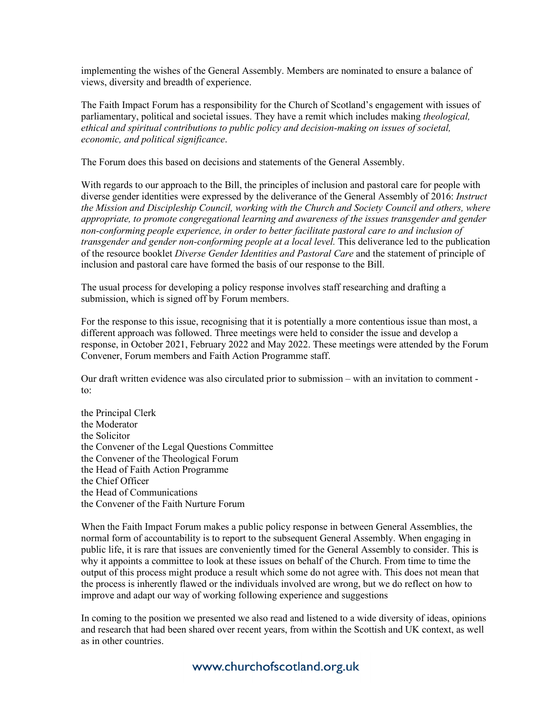implementing the wishes of the General Assembly. Members are nominated to ensure a balance of views, diversity and breadth of experience.

The Faith Impact Forum has a responsibility for the Church of Scotland's engagement with issues of parliamentary, political and societal issues. They have a remit which includes making *theological, ethical and spiritual contributions to public policy and decision-making on issues of societal, economic, and political significance*.

The Forum does this based on decisions and statements of the General Assembly.

With regards to our approach to the Bill, the principles of inclusion and pastoral care for people with diverse gender identities were expressed by the deliverance of the General Assembly of 2016: *Instruct the Mission and Discipleship Council, working with the Church and Society Council and others, where appropriate, to promote congregational learning and awareness of the issues transgender and gender non-conforming people experience, in order to better facilitate pastoral care to and inclusion of transgender and gender non-conforming people at a local level.* This deliverance led to the publication of the resource booklet *Diverse Gender Identities and Pastoral Care* and the statement of principle of inclusion and pastoral care have formed the basis of our response to the Bill.

The usual process for developing a policy response involves staff researching and drafting a submission, which is signed off by Forum members.

For the response to this issue, recognising that it is potentially a more contentious issue than most, a different approach was followed. Three meetings were held to consider the issue and develop a response, in October 2021, February 2022 and May 2022. These meetings were attended by the Forum Convener, Forum members and Faith Action Programme staff.

Our draft written evidence was also circulated prior to submission – with an invitation to comment to:

the Principal Clerk the Moderator the Solicitor the Convener of the Legal Questions Committee the Convener of the Theological Forum the Head of Faith Action Programme the Chief Officer the Head of Communications the Convener of the Faith Nurture Forum

When the Faith Impact Forum makes a public policy response in between General Assemblies, the normal form of accountability is to report to the subsequent General Assembly. When engaging in public life, it is rare that issues are conveniently timed for the General Assembly to consider. This is why it appoints a committee to look at these issues on behalf of the Church. From time to time the output of this process might produce a result which some do not agree with. This does not mean that the process is inherently flawed or the individuals involved are wrong, but we do reflect on how to improve and adapt our way of working following experience and suggestions

In coming to the position we presented we also read and listened to a wide diversity of ideas, opinions and research that had been shared over recent years, from within the Scottish and UK context, as well as in other countries.

## www.churchofscotland.org.uk